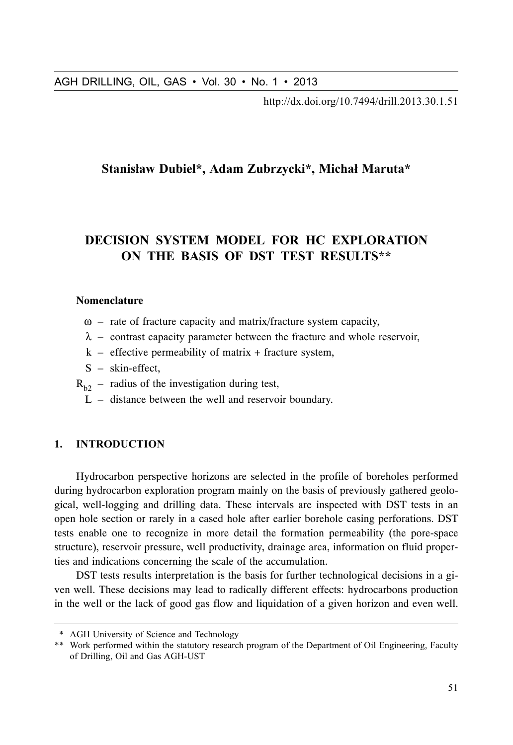http://dx.doi.org/10.7494/drill.2013.30.1.51

# Stanisław Dubiel\*, Adam Zubrzycki\*, Michał Maruta\*

# DECISION SYSTEM MODEL FOR HC EXPLORATION ON THE BASIS OF DST TEST RESULTS\*\*

### **Nomenclature**

- $\omega$  rate of fracture capacity and matrix/fracture system capacity,
- $\lambda$  contrast capacity parameter between the fracture and whole reservoir,
- $k$  effective permeability of matrix + fracture system,
- S skin-effect,
- $R_{b2}$  radius of the investigation during test,
	- L distance between the well and reservoir boundary.

## 1. INTRODUCTION

AGH DRILLING, OIL, GAS • Vol. 30 • No. 1 • 2013<br>
http://dx.doi.org/10.7494/drill.2013.30.1.51<br>
Stanisław Dubiel\*, Adam Zubrzycki\*, Michal Maruta\*<br>
Stanisław Dubiel\*, Adam Zubrzycki\*, Michal Maruta\*<br>
DECISION SYSTEM MODEL Hydrocarbon perspective horizons are selected in the profile of boreholes performed during hydrocarbon exploration program mainly on the basis of previously gathered geological, well-logging and drilling data. These intervals are inspected with DST tests in an open hole section or rarely in a cased hole after earlier borehole casing perforations. DST tests enable one to recognize in more detail the formation permeability (the pore-space structure), reservoir pressure, well productivity, drainage area, information on fluid properties and indications concerning the scale of the accumulation.

DST tests results interpretation is the basis for further technological decisions in a given well. These decisions may lead to radically different effects: hydrocarbons production in the well or the lack of good gas flow and liquidation of a given horizon and even well.

<sup>\*</sup> AGH University of Science and Technology

<sup>\*\*</sup> Work performed within the statutory research program of the Department of Oil Engineering, Faculty of Drilling, Oil and Gas AGH-UST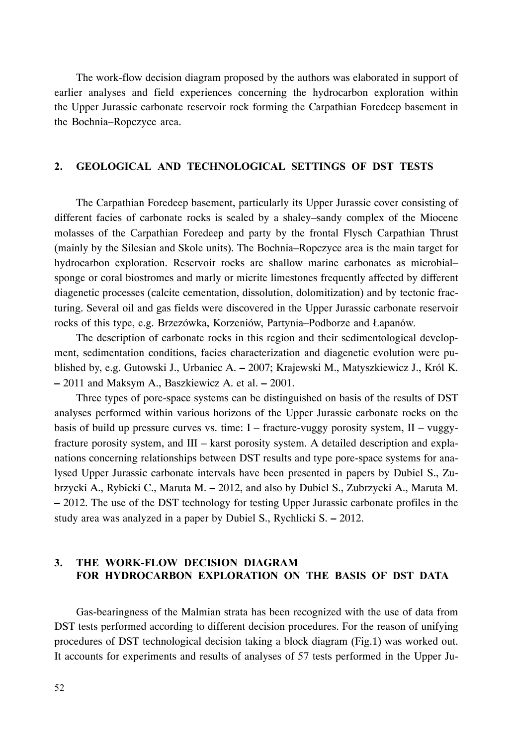The work-flow decision diagram proposed by the authors was elaborated in support of earlier analyses and field experiences concerning the hydrocarbon exploration within the Upper Jurassic carbonate reservoir rock forming the Carpathian Foredeep basement in the Bochnia–Ropczyce area.

### 2. GEOLOGICAL AND TECHNOLOGICAL SETTINGS OF DST TESTS

The Carpathian Foredeep basement, particularly its Upper Jurassic cover consisting of different facies of carbonate rocks is sealed by a shaley–sandy complex of the Miocene molasses of the Carpathian Foredeep and party by the frontal Flysch Carpathian Thrust (mainly by the Silesian and Skole units). The Bochnia–Ropczyce area is the main target for hydrocarbon exploration. Reservoir rocks are shallow marine carbonates as microbial– sponge or coral biostromes and marly or micrite limestones frequently affected by different diagenetic processes (calcite cementation, dissolution, dolomitization) and by tectonic fracturing. Several oil and gas fields were discovered in the Upper Jurassic carbonate reservoir rocks of this type, e.g. Brzezówka, Korzeniów, Partynia-Podborze and Łapanów.

The description of carbonate rocks in this region and their sedimentological development, sedimentation conditions, facies characterization and diagenetic evolution were published by, e.g. Gutowski J., Urbaniec A. **–** 2007; Krajewski M., Matyszkiewicz J., Król K. **–** 2011 and Maksym A., Baszkiewicz A. et al. **–** 2001.

Three types of pore-space systems can be distinguished on basis of the results of DST analyses performed within various horizons of the Upper Jurassic carbonate rocks on the basis of build up pressure curves vs. time:  $I$  – fracture-vuggy porosity system,  $II$  – vuggyfracture porosity system, and III – karst porosity system. A detailed description and explanations concerning relationships between DST results and type pore-space systems for analysed Upper Jurassic carbonate intervals have been presented in papers by Dubiel S., Zubrzycki A., Rybicki C., Maruta M. **–** 2012, and also by Dubiel S., Zubrzycki A., Maruta M. **–** 2012. The use of the DST technology for testing Upper Jurassic carbonate profiles in the study area was analyzed in a paper by Dubiel S., Rychlicki S. **–** 2012.

# 3. THE WORK-FLOW DECISION DIAGRAM FOR HYDROCARBON EXPLORATION ON THE BASIS OF DST DATA

Gas-bearingness of the Malmian strata has been recognized with the use of data from DST tests performed according to different decision procedures. For the reason of unifying procedures of DST technological decision taking a block diagram (Fig.1) was worked out. It accounts for experiments and results of analyses of 57 tests performed in the Upper Ju-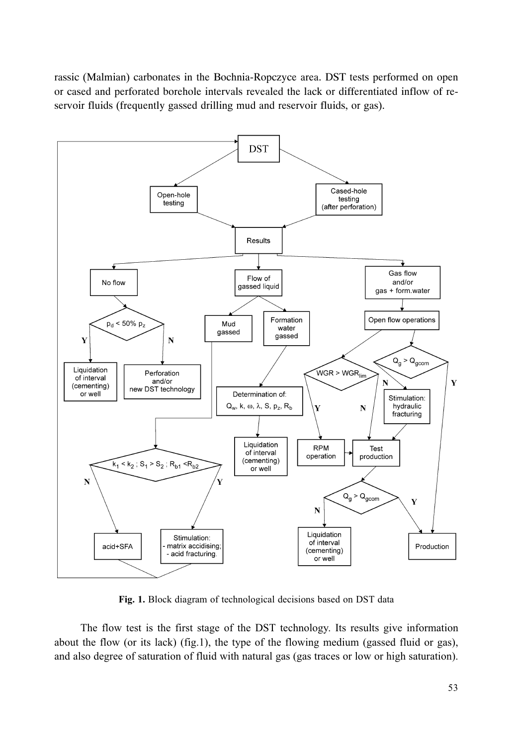rassic (Malmian) carbonates in the Bochnia-Ropczyce area. DST tests performed on open or cased and perforated borehole intervals revealed the lack or differentiated inflow of reservoir fluids (frequently gassed drilling mud and reservoir fluids, or gas).



Fig. 1. Block diagram of technological decisions based on DST data

The flow test is the first stage of the DST technology. Its results give information about the flow (or its lack) (fig.1), the type of the flowing medium (gassed fluid or gas), and also degree of saturation of fluid with natural gas (gas traces or low or high saturation).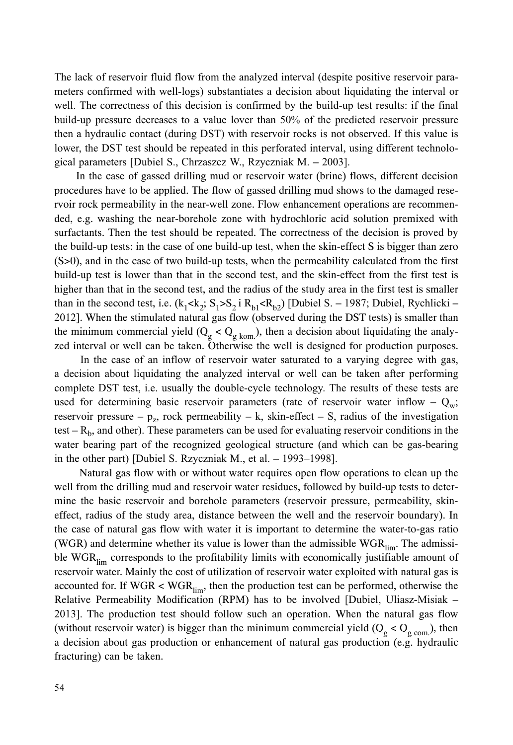The lack of reservoir fluid flow from the analyzed interval (despite positive reservoir parameters confirmed with well-logs) substantiates a decision about liquidating the interval or well. The correctness of this decision is confirmed by the build-up test results: if the final build-up pressure decreases to a value lover than 50% of the predicted reservoir pressure then a hydraulic contact (during DST) with reservoir rocks is not observed. If this value is lower, the DST test should be repeated in this perforated interval, using different technological parameters [Dubiel S., Chrzaszcz W., Rzyczniak M. – 2003].

In the case of gassed drilling mud or reservoir water (brine) flows, different decision procedures have to be applied. The flow of gassed drilling mud shows to the damaged reservoir rock permeability in the near-well zone. Flow enhancement operations are recommended, e.g. washing the near-borehole zone with hydrochloric acid solution premixed with surfactants. Then the test should be repeated. The correctness of the decision is proved by the build-up tests: in the case of one build-up test, when the skin-effect S is bigger than zero (S>0), and in the case of two build-up tests, when the permeability calculated from the first build-up test is lower than that in the second test, and the skin-effect from the first test is higher than that in the second test, and the radius of the study area in the first test is smaller than in the second test, i.e.  $(k_1 < k_2; S_1 > S_2$  i  $R_{h1} < R_{h2}$  [Dubiel S. – 1987; Dubiel, Rychlicki – 2012]. When the stimulated natural gas flow (observed during the DST tests) is smaller than the minimum commercial yield ( $Q_g < Q_g$ <sub>kom</sub>), then a decision about liquidating the analyzed interval or well can be taken. Otherwise the well is designed for production purposes.

In the case of an inflow of reservoir water saturated to a varying degree with gas, a decision about liquidating the analyzed interval or well can be taken after performing complete DST test, i.e. usually the double-cycle technology. The results of these tests are used for determining basic reservoir parameters (rate of reservoir water inflow  $-Q_w$ ; reservoir pressure  $-p_z$ , rock permeability  $-k$ , skin-effect  $-$  S, radius of the investigation test  $-R_b$ , and other). These parameters can be used for evaluating reservoir conditions in the water bearing part of the recognized geological structure (and which can be gas-bearing in the other part) [Dubiel S. Rzyczniak M., et al.  $-$  1993–1998].

Natural gas flow with or without water requires open flow operations to clean up the well from the drilling mud and reservoir water residues, followed by build-up tests to determine the basic reservoir and borehole parameters (reservoir pressure, permeability, skineffect, radius of the study area, distance between the well and the reservoir boundary). In the case of natural gas flow with water it is important to determine the water-to-gas ratio (WGR) and determine whether its value is lower than the admissible  $WGR_{\text{lim}}$ . The admissible  $WGR_{\text{lim}}$  corresponds to the profitability limits with economically justifiable amount of reservoir water. Mainly the cost of utilization of reservoir water exploited with natural gas is accounted for. If  $WGR < WGR_{lim}$ , then the production test can be performed, otherwise the Relative Permeability Modification (RPM) has to be involved [Dubiel, Uliasz-Misiak  $-$ 2013]. The production test should follow such an operation. When the natural gas flow (without reservoir water) is bigger than the minimum commercial yield  $(Q_g < Q_{g \text{ com.}})$ , then a decision about gas production or enhancement of natural gas production (e.g. hydraulic fracturing) can be taken.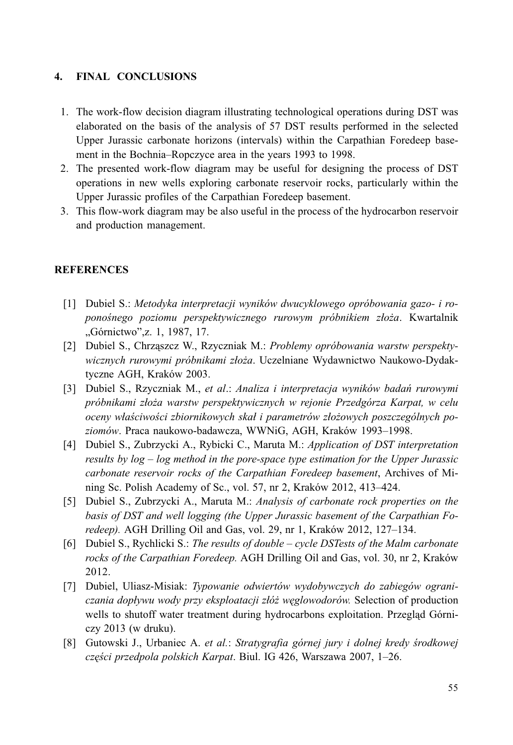#### 4. **FINAL CONCLUSIONS**

- 1. The work-flow decision diagram illustrating technological operations during DST was elaborated on the basis of the analysis of 57 DST results performed in the selected Upper Jurassic carbonate horizons (intervals) within the Carpathian Foredeep basement in the Bochnia–Ropczyce area in the years 1993 to 1998.
- 2. The presented work-flow diagram may be useful for designing the process of DST operations in new wells exploring carbonate reservoir rocks, particularly within the Upper Jurassic profiles of the Carpathian Foredeep basement.
- 3. This flow-work diagram may be also useful in the process of the hydrocarbon reservoir and production management.

## **REFERENCES**

- [1] Dubiel S.: Metodyka interpretacji wyników dwucyklowego opróbowania gazo- i roponośnego poziomu perspektywicznego rurowym próbnikiem złoża. Kwartalnik "Górnictwo", z. 1, 1987, 17.
- [2] Dubiel S., Chrzaszcz W., Rzyczniak M.: Problemy opróbowania warstw perspektywicznych rurowymi próbnikami złoża. Uczelniane Wydawnictwo Naukowo-Dydaktyczne AGH, Kraków 2003.
- [3] Dubiel S., Rzyczniak M., et al.: Analiza i interpretacja wyników badań rurowymi próbnikami złoża warstw perspektywicznych w rejonie Przedgórza Karpat, w celu oceny właściwości zbiornikowych skał i parametrów złożowych poszczególnych poziomów. Praca naukowo-badawcza, WWNiG, AGH, Kraków 1993-1998.
- [4] Dubiel S., Zubrzycki A., Rybicki C., Maruta M.: Application of DST interpretation results by  $log - log$  method in the pore-space type estimation for the Upper Jurassic carbonate reservoir rocks of the Carpathian Foredeep basement, Archives of Mining Sc. Polish Academy of Sc., vol. 57, nr 2, Kraków 2012, 413-424.
- [5] Dubiel S., Zubrzycki A., Maruta M.: Analysis of carbonate rock properties on the basis of DST and well logging (the Upper Jurassic basement of the Carpathian Foredeep). AGH Drilling Oil and Gas, vol. 29, nr 1, Kraków 2012, 127–134.
- [6] Dubiel S., Rychlicki S.: The results of double cycle DSTests of the Malm carbonate rocks of the Carpathian Foredeep. AGH Drilling Oil and Gas, vol. 30, nr 2, Kraków 2012.
- [7] Dubiel, Uliasz-Misiak: Typowanie odwiertów wydobywczych do zabiegów ograniczania dopływu wody przy eksploatacji złóż weglowodorów. Selection of production wells to shutoff water treatment during hydrocarbons exploitation. Przegląd Górni $czv 2013$  (w druku).
- [8] Gutowski J., Urbaniec A. et al.: Stratygrafia górnej jury i dolnej kredy środkowej części przedpola polskich Karpat. Biul. IG 426, Warszawa 2007, 1-26.